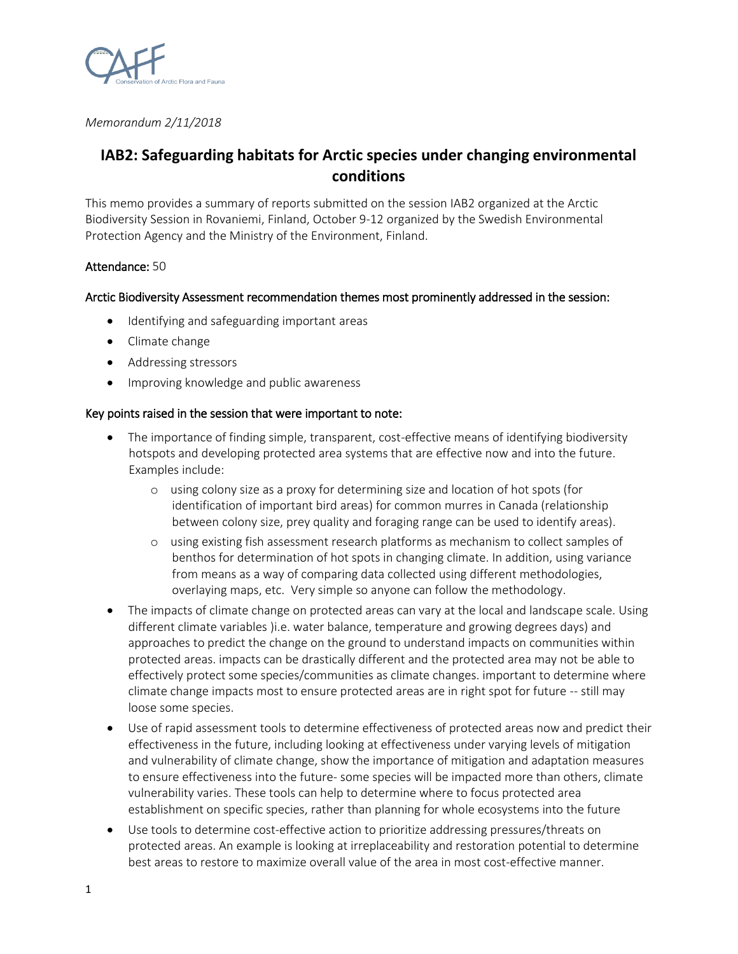

*Memorandum 2/11/2018*

# **IAB2: Safeguarding habitats for Arctic species under changing environmental conditions**

This memo provides a summary of reports submitted on the session IAB2 organized at the Arctic Biodiversity Session in Rovaniemi, Finland, October 9-12 organized by the Swedish Environmental Protection Agency and the Ministry of the Environment, Finland.

## Attendance: 50

### Arctic Biodiversity Assessment recommendation themes most prominently addressed in the session:

- Identifying and safeguarding important areas
- Climate change
- Addressing stressors
- Improving knowledge and public awareness

### Key points raised in the session that were important to note:

- The importance of finding simple, transparent, cost-effective means of identifying biodiversity hotspots and developing protected area systems that are effective now and into the future. Examples include:
	- o using colony size as a proxy for determining size and location of hot spots (for identification of important bird areas) for common murres in Canada (relationship between colony size, prey quality and foraging range can be used to identify areas).
	- o using existing fish assessment research platforms as mechanism to collect samples of benthos for determination of hot spots in changing climate. In addition, using variance from means as a way of comparing data collected using different methodologies, overlaying maps, etc. Very simple so anyone can follow the methodology.
- The impacts of climate change on protected areas can vary at the local and landscape scale. Using different climate variables )i.e. water balance, temperature and growing degrees days) and approaches to predict the change on the ground to understand impacts on communities within protected areas. impacts can be drastically different and the protected area may not be able to effectively protect some species/communities as climate changes. important to determine where climate change impacts most to ensure protected areas are in right spot for future -- still may loose some species.
- Use of rapid assessment tools to determine effectiveness of protected areas now and predict their effectiveness in the future, including looking at effectiveness under varying levels of mitigation and vulnerability of climate change, show the importance of mitigation and adaptation measures to ensure effectiveness into the future- some species will be impacted more than others, climate vulnerability varies. These tools can help to determine where to focus protected area establishment on specific species, rather than planning for whole ecosystems into the future
- Use tools to determine cost-effective action to prioritize addressing pressures/threats on protected areas. An example is looking at irreplaceability and restoration potential to determine best areas to restore to maximize overall value of the area in most cost-effective manner.